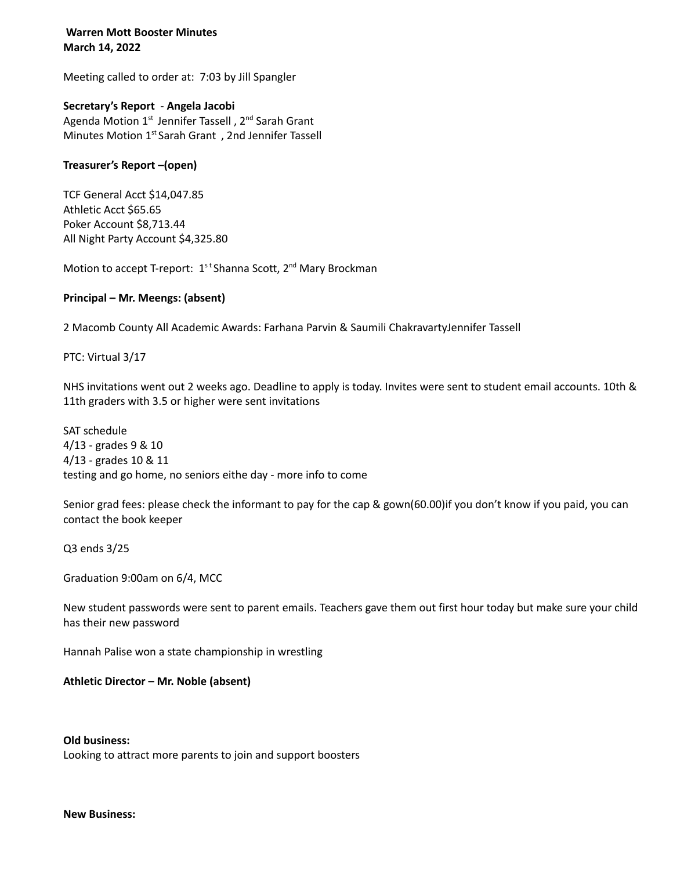## **Warren Mott Booster Minutes March 14, 2022**

Meeting called to order at: 7:03 by Jill Spangler

# **Secretary's Report** - **Angela Jacobi**

Agenda Motion 1<sup>st</sup> Jennifer Tassell, 2<sup>nd</sup> Sarah Grant Minutes Motion 1<sup>st</sup> Sarah Grant, 2nd Jennifer Tassell

## **Treasurer's Report –(open)**

TCF General Acct \$14,047.85 Athletic Acct \$65.65 Poker Account \$8,713.44 All Night Party Account \$4,325.80

Motion to accept T-report: 1<sup>st</sup> Shanna Scott, 2<sup>nd</sup> Mary Brockman

# **Principal – Mr. Meengs: (absent)**

2 Macomb County All Academic Awards: Farhana Parvin & Saumili ChakravartyJennifer Tassell

PTC: Virtual 3/17

NHS invitations went out 2 weeks ago. Deadline to apply is today. Invites were sent to student email accounts. 10th & 11th graders with 3.5 or higher were sent invitations

SAT schedule 4/13 - grades 9 & 10 4/13 - grades 10 & 11 testing and go home, no seniors eithe day - more info to come

Senior grad fees: please check the informant to pay for the cap & gown(60.00)if you don't know if you paid, you can contact the book keeper

Q3 ends 3/25

Graduation 9:00am on 6/4, MCC

New student passwords were sent to parent emails. Teachers gave them out first hour today but make sure your child has their new password

Hannah Palise won a state championship in wrestling

### **Athletic Director – Mr. Noble (absent)**

**Old business:** Looking to attract more parents to join and support boosters